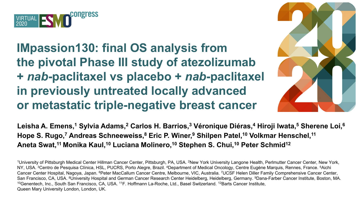

**IMpassion130: final OS analysis from the pivotal Phase III study of atezolizumab +** *nab***-paclitaxel vs placebo +** *nab***-paclitaxel in previously untreated locally advanced or metastatic triple-negative breast cancer** 



**Leisha A. Emens,1 Sylvia Adams,2 Carlos H. Barrios,3 Véronique Diéras,4 Hiroji Iwata,5 Sherene Loi,6 Hope S. Rugo,7 Andreas Schneeweiss,8 Eric P. Winer,9 Shilpen Patel,10 Volkmar Henschel,11 Aneta Swat,11 Monika Kaul,10 Luciana Molinero,10 Stephen S. Chui,10 Peter Schmid12**

1University of Pittsburgh Medical Center Hillman Cancer Center, Pittsburgh, PA, USA. 2New York University Langone Health, Perlmutter Cancer Center, New York, NY, USA. <sup>3</sup>Centro de Pesquisa Clínica, HSL, PUCRS, Porto Alegre, Brazil. <sup>4</sup>Department of Medical Oncology, Centre Eugène Marquis, Rennes, France. <sup>5</sup>Aichi Cancer Center Hospital, Nagoya, Japan. 6Peter MacCallum Cancer Centre, Melbourne, VIC, Australia. 7UCSF Helen Diller Family Comprehensive Cancer Center, San Francisco, CA, USA. <sup>8</sup>University Hospital and German Cancer Research Center Heidelberg, Heidelberg, Germany. <sup>9</sup>Dana-Farber Cancer Institute, Boston, MA.<br><sup>10</sup>Genentech, Inc., South San Francisco, CA, USA. <sup>11</sup>F. Hoffm Queen Mary University London, London, UK.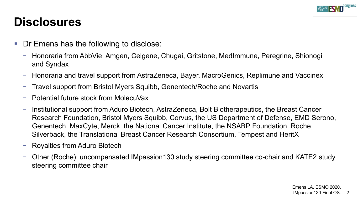

#### **Disclosures**

- Dr Emens has the following to disclose:
	- − Honoraria from AbbVie, Amgen, Celgene, Chugai, Gritstone, MedImmune, Peregrine, Shionogi and Syndax
	- − Honoraria and travel support from AstraZeneca, Bayer, MacroGenics, Replimune and Vaccinex
	- Travel support from Bristol Myers Squibb, Genentech/Roche and Novartis
	- − Potential future stock from MolecuVax
	- − Institutional support from Aduro Biotech, AstraZeneca, Bolt Biotherapeutics, the Breast Cancer Research Foundation, Bristol Myers Squibb, Corvus, the US Department of Defense, EMD Serono, Genentech, MaxCyte, Merck, the National Cancer Institute, the NSABP Foundation, Roche, Silverback, the Translational Breast Cancer Research Consortium, Tempest and HeritX
	- − Royalties from Aduro Biotech
	- − Other (Roche): uncompensated IMpassion130 study steering committee co-chair and KATE2 study steering committee chair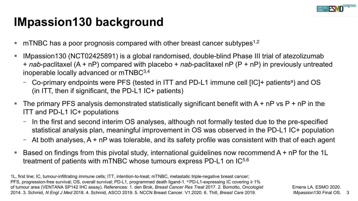

# **IMpassion130 background**

- mTNBC has a poor prognosis compared with other breast cancer subtypes<sup>1,2</sup>
- IMpassion130 (NCT02425891) is a global randomised, double-blind Phase III trial of atezolizumab + *nab*-paclitaxel (A + nP) compared with placebo + *nab*-paclitaxel nP (P + nP) in previously untreated inoperable locally advanced or mTNBC3,4
	- − Co-primary endpoints were PFS (tested in ITT and PD-L1 immune cell [IC]+ patients<sup>a</sup>) and OS (in ITT, then if significant, the PD-L1 IC+ patients)
- The primary PFS analysis demonstrated statistically significant benefit with  $A + nP$  vs  $P + nP$  in the ITT and PD-L1 IC+ populations
	- − In the first and second interim OS analyses, although not formally tested due to the pre-specified statistical analysis plan, meaningful improvement in OS was observed in the PD-L1 IC+ population
	- − At both analyses, A + nP was tolerable, and its safety profile was consistent with that of each agent
- Based on findings from this pivotal study, international guidelines now recommend A + nP for the 1L treatment of patients with mTNBC whose tumours express PD-L1 on IC5,6

1L, first line; IC, tumour-infiltrating immune cells; ITT, intention-to-treat; mTNBC, metastatic triple-negative breast cancer; PFS, progression-free survival; OS, overall survival; PD-L1, programmed death ligand-1.ªPD-L1-expressing IC covering ≥ 1% of tumour area (VENTANA SP142 IHC assay). den Brok, *Breast Cancer Res Treat* 2017. 2. Bomotto, *Oncologist*  References: 1. Emens LA. ESMO 2020. 2014. 3. Schmid, *N Engl J Med* 2018. 4. Schmid, ASCO 2019. 5. NCCN Breast Cancer. V1.2020. 6. Thill, *Breast Care* 2019.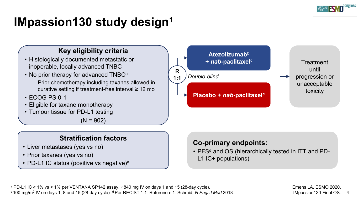

# **IMpassion130 study design1**

#### **Key eligibility criteria**

- Histologically documented metastatic or inoperable, locally advanced TNBC
- No prior therapy for advanced TNBC<sup>a</sup>
	- Prior chemotherapy including taxanes allowed in curative setting if treatment-free interval ≥ 12 mo
- ECOG PS 0-1
- Eligible for taxane monotherapy
- Tumour tissue for PD-L1 testing

 $(N = 902)$ 

#### **Stratification factors**

- Liver metastases (yes vs no)
- Prior taxanes (yes vs no)
- PD-L1 IC status (positive vs negative)<sup>a</sup>



#### **Co-primary endpoints:**

• PFS<sup>d</sup> and OS (hierarchically tested in ITT and PD-L1 IC+ populations)

<sup>a</sup> PD-L1 IC ≥ 1% vs < 1% per VENTANA SP142 assay. <sup>b</sup> 840 mg IV on days 1 and 15 (28-day cycle). <sup>a</sup> 100 mg/m<sup>2</sup> IV on days 1, 8 and 15 (28-day cycle).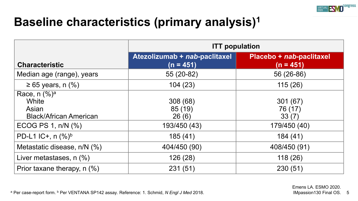

## **Baseline characteristics (primary analysis)1**

|                                                                               | <b>ITT</b> population                        |                                         |  |  |
|-------------------------------------------------------------------------------|----------------------------------------------|-----------------------------------------|--|--|
| <b>Characteristic</b>                                                         | Atezolizumab + nab-paclitaxel<br>$(n = 451)$ | Placebo + nab-paclitaxel<br>$(n = 451)$ |  |  |
| Median age (range), years                                                     | 55 (20-82)                                   | 56 (26-86)                              |  |  |
| $\geq 65$ years, n (%)                                                        | 104(23)                                      | 115(26)                                 |  |  |
| Race, $n$ (%) <sup>a</sup><br>White<br>Asian<br><b>Black/African American</b> | 308(68)<br>85 (19)<br>26(6)                  | 301(67)<br>76 (17)<br>33(7)             |  |  |
| ECOG PS 1, $n/N$ $(\%)$                                                       | 193/450 (43)                                 | 179/450 (40)                            |  |  |
| PD-L1 IC+, $n$ (%) <sup>b</sup>                                               | 185(41)                                      | 184 (41)                                |  |  |
| Metastatic disease, n/N (%)                                                   | 404/450 (90)                                 | 408/450 (91)                            |  |  |
| Liver metastases, n (%)                                                       | 126 (28)                                     | 118(26)                                 |  |  |
| Prior taxane therapy, n (%)                                                   | 231(51)                                      | 230(51)                                 |  |  |

<sup>a</sup> Per case-report form. b Per VENTANA SP142 assay. Reference: 1. Schmid, *N Engl J Med* 2018.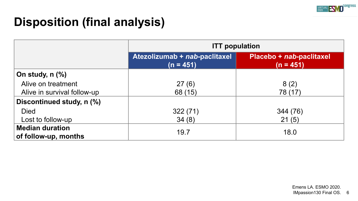

# **Disposition (final analysis)**

|                                                | <b>ITT</b> population                        |                                         |  |  |
|------------------------------------------------|----------------------------------------------|-----------------------------------------|--|--|
|                                                | Atezolizumab + nab-paclitaxel<br>$(n = 451)$ | Placebo + nab-paclitaxel<br>$(n = 451)$ |  |  |
| On study, $n$ $%$                              |                                              |                                         |  |  |
| Alive on treatment                             | 27(6)                                        | 8(2)                                    |  |  |
| Alive in survival follow-up                    | 68 (15)                                      | 78 (17)                                 |  |  |
| Discontinued study, n (%)                      |                                              |                                         |  |  |
| <b>Died</b>                                    | 322(71)                                      | 344 (76)                                |  |  |
| Lost to follow-up                              | 34(8)                                        | 21(5)                                   |  |  |
| <b>Median duration</b><br>of follow-up, months | 19.7                                         | 18.0                                    |  |  |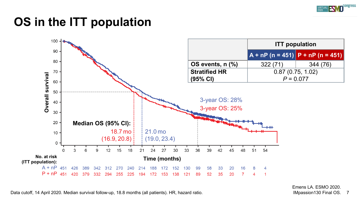

# **OS in the ITT population**



Data cutoff, 14 April 2020. Median survival follow-up, 18.8 months (all patients). HR, hazard ratio.

7 Emens LA. ESMO 2020. IMpassion130 Final OS.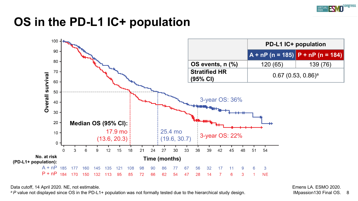

## **OS in the PD-L1 IC+ population**



Data cutoff, 14 April 2020. NE, not estimable.

*a P* value not displayed since OS in the PD-L1+ population was not formally tested due to the hierarchical study design.

8 Emens LA. ESMO 2020. IMpassion130 Final OS.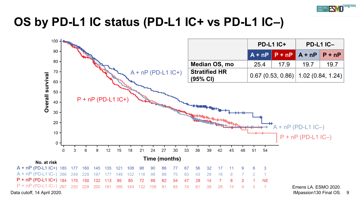

#### **OS by PD-L1 IC status (PD-L1 IC+ vs PD-L1 IC–)**

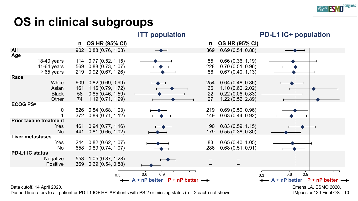

# **OS in clinical subgroups**



Data cutoff, 14 April 2020.

Dashed line refers to all-patient or PD-L1 IC+ HR. <sup>a</sup> Patients with PS 2 or missing status ( $n = 2$  each) not shown.

10 IMpassion130 Final OS. Emens LA. ESMO 2020.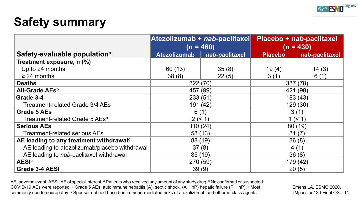

# **Safety summary**

|                                               | Atezolizumab + nab-paclitaxel<br>$(n = 460)$ |                | Placebo + nab-paclitaxel<br>(n = 430) |                |
|-----------------------------------------------|----------------------------------------------|----------------|---------------------------------------|----------------|
| Safety-evaluable population <sup>a</sup>      | <b>Atezolizumab</b>                          | nab-paclitaxel | <b>Placebo</b>                        | nab-paclitaxel |
| Treatment exposure, n (%)                     |                                              |                |                                       |                |
| Up to 24 months                               | 60(13)                                       | 35(8)          | 19(4)                                 | 14(3)          |
| $\geq$ 24 months                              | 38(8)                                        | 22(5)          | 3(1)                                  | 6(1)           |
| <b>Deaths</b>                                 | 322 (70)                                     |                | 337 (78)                              |                |
| All-Grade AEs <sup>b</sup>                    | 457 (99)                                     |                | 421 (98)                              |                |
| Grade 3-4                                     | 233(51)                                      |                | 183 (43)                              |                |
| Treatment-related Grade 3/4 AEs               | 191 (42)                                     |                | 129(30)                               |                |
| Grade 5 AEs                                   | 6(1)                                         |                | 3(1)                                  |                |
| Treatment-related Grade 5 AEs <sup>c</sup>    | 2 (< 1)                                      |                | 1 (< 1)                               |                |
| <b>Serious AEs</b>                            | 110(24)                                      |                | 80(19)                                |                |
| <b>Treatment-related serious AEs</b>          | 58 (13)                                      |                | 31(7)                                 |                |
| AE leading to any treatment withdrawald       | 88 (19)                                      |                | 36(8)                                 |                |
| AE leading to atezolizumab/placebo withdrawal | 37(8)                                        |                | 4(1)                                  |                |
| AE leading to nab-paclitaxel withdrawal       | 85 (19)                                      |                | 36(8)                                 |                |
| <b>AESI<sup>e</sup></b>                       | 270 (59)                                     |                | 179 (42)                              |                |
| Grade 3-4 AESI                                | 39(9)                                        |                | 20(5)                                 |                |

AE, adverse event; AESI, AE of special interest. ª Patients who received any amount of any study drug. <sup>b</sup> No confirmed or suspected COVID-19 AEs were reported.  $\circ$  Grade 5 AEs: autoimmune hepatitis (A), septic shock, (A + nP) hepatic failure (P + nP).  $\circ$  Most commonly due to neuropathy. <sup>e</sup> Sponsor defined based on immune-mediated risks of atezolizumab and other in-class agents.

IMpassion130 Final OS. 11 Emens LA. ESMO 2020.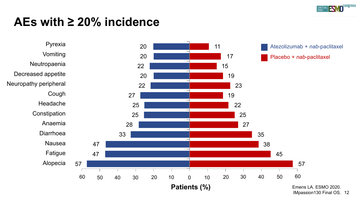

### **AEs with ≥ 20% incidence**



<sup>12</sup> IMpassion130 Final OS.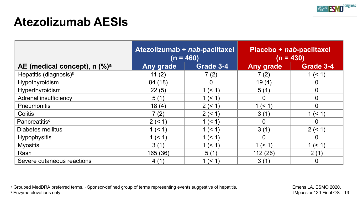

## **Atezolizumab AESIs**

|                                                        | Atezolizumab + nab-paclitaxel<br>$(n = 460)$ |           | Placebo + nab-paclitaxel<br>$(n = 430)$ |                |
|--------------------------------------------------------|----------------------------------------------|-----------|-----------------------------------------|----------------|
| AE (medical concept), $n$ $\left(\frac{9}{6}\right)^a$ | Any grade                                    | Grade 3-4 | Any grade                               | Grade 3-4      |
| Hepatitis (diagnosis) <sup>b</sup>                     | 11(2)                                        | 7(2)      | 7(2)                                    | 1 (< 1)        |
| Hypothyroidism                                         | 84 (18)                                      | 0         | 19(4)                                   | 0              |
| Hyperthyroidism                                        | 22(5)                                        | 1 (< 1)   | 5(1)                                    | $\overline{0}$ |
| Adrenal insufficiency                                  | 5(1)                                         | 1 (< 1)   | $\overline{0}$                          | $\overline{0}$ |
| Pneumonitis                                            | 18(4)                                        | 2 (< 1)   | 1 (< 1)                                 | 0              |
| <b>Colitis</b>                                         | 7(2)                                         | 2(< 1)    | 3(1)                                    | 1 (< 1)        |
| Pancreatitis <sup>c</sup>                              | 2 (< 1)                                      | 1 (< 1)   | $\overline{0}$                          | $\overline{0}$ |
| Diabetes mellitus                                      | 1 (< 1)                                      | 1 (< 1)   | 3(1)                                    | 2 (< 1)        |
| <b>Hypophysitis</b>                                    | 1 (< 1)                                      | 1 (< 1)   | $\Omega$                                | 0              |
| <b>Myositis</b>                                        | 3(1)                                         | 1 (< 1)   | 1 (< 1)                                 | 1 (< 1)        |
| Rash                                                   | 165 (36)                                     | 5(1)      | 112(26)                                 | 2(1)           |
| Severe cutaneous reactions                             | 4(1)                                         | 1 (< 1)   | 3(1)                                    | 0              |

a Grouped MedDRA preferred terms. **b Sponsor-defined group of terms representing events suggestive of hepatitis.**<br>
C Enzyme elevations only.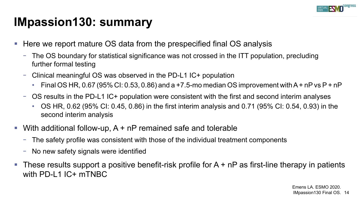

## **IMpassion130: summary**

- Here we report mature OS data from the prespecified final OS analysis
	- − The OS boundary for statistical significance was not crossed in the ITT population, precluding further formal testing
	- − Clinical meaningful OS was observed in the PD-L1 IC+ population
		- Final OS HR, 0.67 (95% CI: 0.53, 0.86) and a +7.5-mo median OS improvement with A + nP vs P + nP
	- − OS results in the PD-L1 IC+ population were consistent with the first and second interim analyses
		- OS HR, 0.62 (95% CI: 0.45, 0.86) in the first interim analysis and 0.71 (95% CI: 0.54, 0.93) in the second interim analysis
- With additional follow-up, A + nP remained safe and tolerable
	- − The safety profile was consistent with those of the individual treatment components
	- − No new safety signals were identified
- These results support a positive benefit-risk profile for  $A + nP$  as first-line therapy in patients with PD-L1 IC+ mTNBC